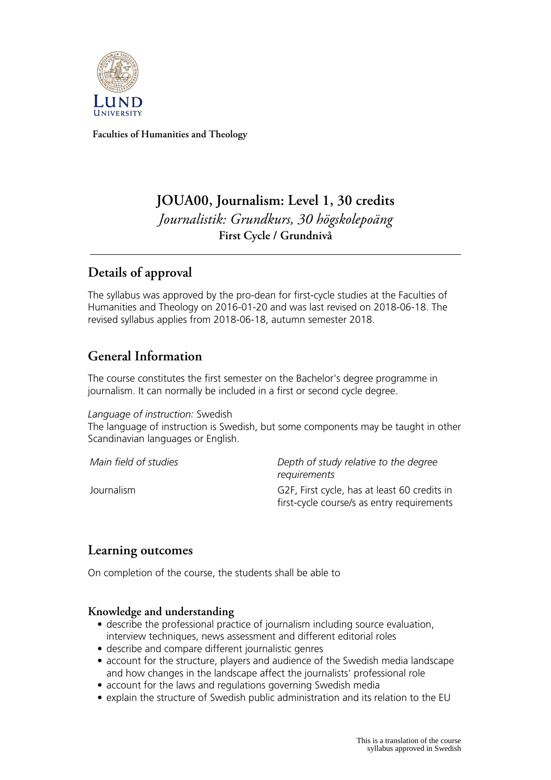

**Faculties of Humanities and Theology**

# **JOUA00, Journalism: Level 1, 30 credits** *Journalistik: Grundkurs, 30 högskolepoäng* **First Cycle / Grundnivå**

# **Details of approval**

The syllabus was approved by the pro-dean for first-cycle studies at the Faculties of Humanities and Theology on 2016-01-20 and was last revised on 2018-06-18. The revised syllabus applies from 2018-06-18, autumn semester 2018.

# **General Information**

The course constitutes the first semester on the Bachelor's degree programme in journalism. It can normally be included in a first or second cycle degree.

*Language of instruction:* Swedish

The language of instruction is Swedish, but some components may be taught in other Scandinavian languages or English.

*Main field of studies Depth of study relative to the degree requirements* Journalism G2F, First cycle, has at least 60 credits in first-cycle course/s as entry requirements

## **Learning outcomes**

On completion of the course, the students shall be able to

### **Knowledge and understanding**

- describe the professional practice of journalism including source evaluation, interview techniques, news assessment and different editorial roles
- describe and compare different journalistic genres
- account for the structure, players and audience of the Swedish media landscape and how changes in the landscape affect the journalists' professional role
- account for the laws and regulations governing Swedish media
- explain the structure of Swedish public administration and its relation to the EU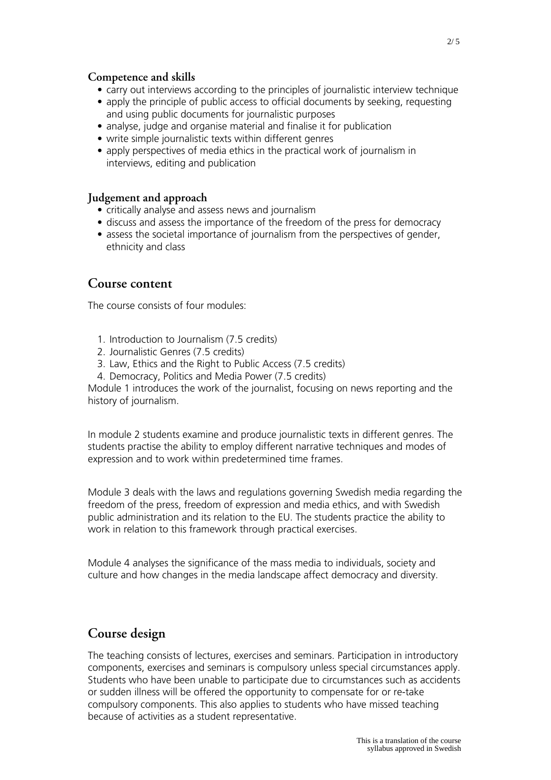#### **Competence and skills**

- carry out interviews according to the principles of journalistic interview technique
- apply the principle of public access to official documents by seeking, requesting and using public documents for journalistic purposes
- analyse, judge and organise material and finalise it for publication
- write simple journalistic texts within different genres
- apply perspectives of media ethics in the practical work of journalism in interviews, editing and publication

#### **Judgement and approach**

- critically analyse and assess news and journalism
- discuss and assess the importance of the freedom of the press for democracy
- assess the societal importance of journalism from the perspectives of gender, ethnicity and class

### **Course content**

The course consists of four modules:

- 1. Introduction to Journalism (7.5 credits)
- 2. Journalistic Genres (7.5 credits)
- 3. Law, Ethics and the Right to Public Access (7.5 credits)
- 4. Democracy, Politics and Media Power (7.5 credits)

Module 1 introduces the work of the journalist, focusing on news reporting and the history of journalism.

In module 2 students examine and produce journalistic texts in different genres. The students practise the ability to employ different narrative techniques and modes of expression and to work within predetermined time frames.

Module 3 deals with the laws and regulations governing Swedish media regarding the freedom of the press, freedom of expression and media ethics, and with Swedish public administration and its relation to the EU. The students practice the ability to work in relation to this framework through practical exercises.

Module 4 analyses the significance of the mass media to individuals, society and culture and how changes in the media landscape affect democracy and diversity.

## **Course design**

The teaching consists of lectures, exercises and seminars. Participation in introductory components, exercises and seminars is compulsory unless special circumstances apply. Students who have been unable to participate due to circumstances such as accidents or sudden illness will be offered the opportunity to compensate for or re-take compulsory components. This also applies to students who have missed teaching because of activities as a student representative.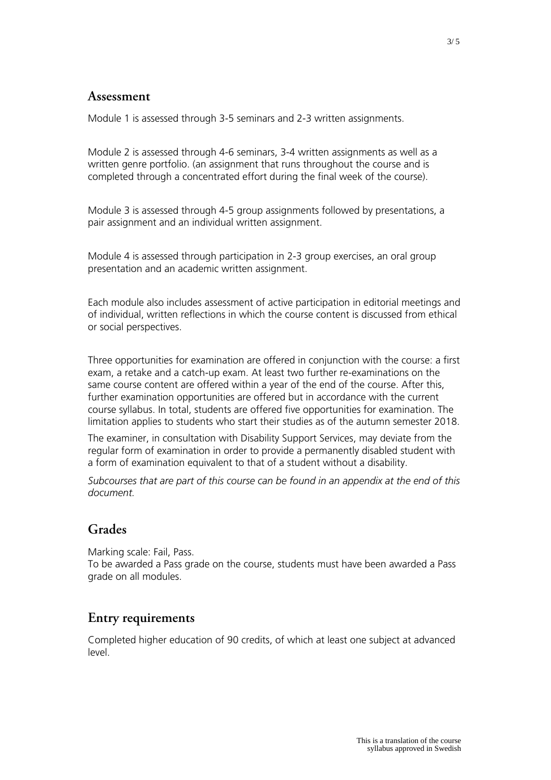### **Assessment**

Module 1 is assessed through 3-5 seminars and 2-3 written assignments.

Module 2 is assessed through 4-6 seminars, 3-4 written assignments as well as a written genre portfolio. (an assignment that runs throughout the course and is completed through a concentrated effort during the final week of the course).

Module 3 is assessed through 4-5 group assignments followed by presentations, a pair assignment and an individual written assignment.

Module 4 is assessed through participation in 2-3 group exercises, an oral group presentation and an academic written assignment.

Each module also includes assessment of active participation in editorial meetings and of individual, written reflections in which the course content is discussed from ethical or social perspectives.

Three opportunities for examination are offered in conjunction with the course: a first exam, a retake and a catch-up exam. At least two further re-examinations on the same course content are offered within a year of the end of the course. After this, further examination opportunities are offered but in accordance with the current course syllabus. In total, students are offered five opportunities for examination. The limitation applies to students who start their studies as of the autumn semester 2018.

The examiner, in consultation with Disability Support Services, may deviate from the regular form of examination in order to provide a permanently disabled student with a form of examination equivalent to that of a student without a disability.

*Subcourses that are part of this course can be found in an appendix at the end of this document.*

### **Grades**

Marking scale: Fail, Pass. To be awarded a Pass grade on the course, students must have been awarded a Pass grade on all modules.

## **Entry requirements**

Completed higher education of 90 credits, of which at least one subject at advanced level.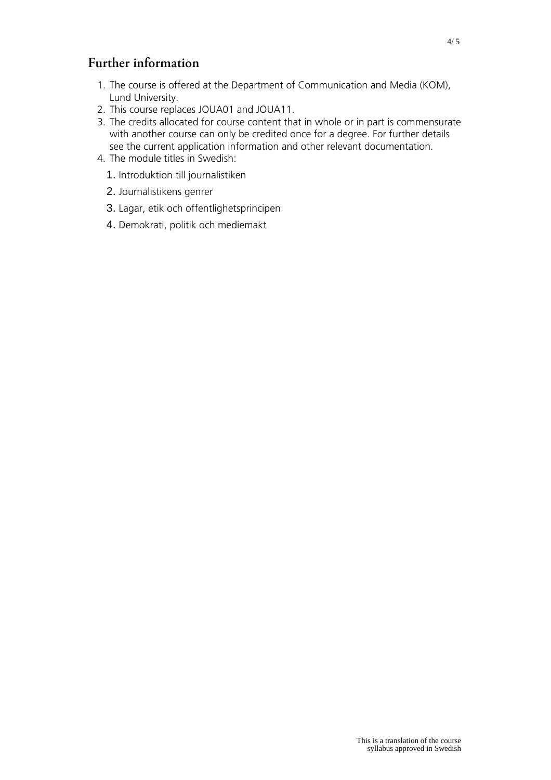### **Further information**

- 1. The course is offered at the Department of Communication and Media (KOM), Lund University.
- 2. This course replaces JOUA01 and JOUA11.
- 3. The credits allocated for course content that in whole or in part is commensurate with another course can only be credited once for a degree. For further details see the current application information and other relevant documentation.
- 4. The module titles in Swedish:
	- 1. Introduktion till journalistiken
	- 2. Journalistikens genrer
	- 3. Lagar, etik och offentlighetsprincipen
	- 4. Demokrati, politik och mediemakt